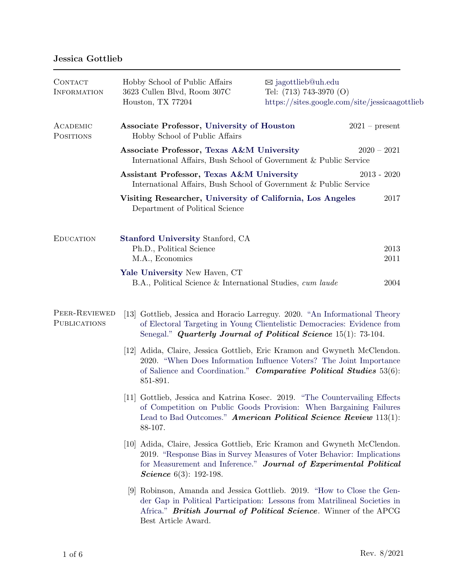## Jessica Gottlieb

| CONTACT<br><b>INFORMATION</b>        | Hobby School of Public Affairs<br>3623 Cullen Blvd, Room 307C<br>Houston, TX 77204                                                                                                                                                                           | $\boxtimes$ jagottlieb@uh.edu<br>Tel: $(713)$ 743-3970 $(O)$ | https://sites.google.com/site/jessicaagottlieb |  |
|--------------------------------------|--------------------------------------------------------------------------------------------------------------------------------------------------------------------------------------------------------------------------------------------------------------|--------------------------------------------------------------|------------------------------------------------|--|
| ACADEMIC<br><b>POSITIONS</b>         | Associate Professor, University of Houston<br>Hobby School of Public Affairs                                                                                                                                                                                 |                                                              | $2021$ – present                               |  |
|                                      | Associate Professor, Texas A&M University<br>$2020 - 2021$<br>International Affairs, Bush School of Government & Public Service                                                                                                                              |                                                              |                                                |  |
|                                      | Assistant Professor, Texas A&M University<br>$2013 - 2020$<br>International Affairs, Bush School of Government & Public Service                                                                                                                              |                                                              |                                                |  |
|                                      | Visiting Researcher, University of California, Los Angeles<br>Department of Political Science                                                                                                                                                                |                                                              | 2017                                           |  |
| <b>EDUCATION</b>                     | <b>Stanford University Stanford, CA</b><br>Ph.D., Political Science<br>M.A., Economics                                                                                                                                                                       |                                                              | 2013<br>2011                                   |  |
|                                      | Yale University New Haven, CT<br>B.A., Political Science & International Studies, cum laude                                                                                                                                                                  |                                                              | 2004                                           |  |
| PEER-REVIEWED<br><b>PUBLICATIONS</b> | [13] Gottlieb, Jessica and Horacio Larreguy. 2020. "An Informational Theory<br>of Electoral Targeting in Young Clientelistic Democracies: Evidence from<br>Senegal." Quarterly Journal of Political Science 15(1): 73-104.                                   |                                                              |                                                |  |
|                                      | [12] Adida, Claire, Jessica Gottlieb, Eric Kramon and Gwyneth McClendon.<br>2020. "When Does Information Influence Voters? The Joint Importance<br>of Salience and Coordination." Comparative Political Studies 53(6):<br>851-891.                           |                                                              |                                                |  |
|                                      | [11] Gottlieb, Jessica and Katrina Kosec. 2019. "The Countervailing Effects<br>of Competition on Public Goods Provision: When Bargaining Failures<br>Lead to Bad Outcomes." American Political Science Review 113(1):<br>88-107.                             |                                                              |                                                |  |
|                                      | [10] Adida, Claire, Jessica Gottlieb, Eric Kramon and Gwyneth McClendon.<br>2019. "Response Bias in Survey Measures of Voter Behavior: Implications<br>for Measurement and Inference." Journal of Experimental Political<br><i>Science</i> $6(3)$ : 192-198. |                                                              |                                                |  |
|                                      | [9] Robinson, Amanda and Jessica Gottlieb. 2019. "How to Close the Gen-<br>der Gap in Political Participation: Lessons from Matrilineal Societies in<br>Africa." <b>British Journal of Political Science</b> . Winner of the APCG<br>Best Article Award.     |                                                              |                                                |  |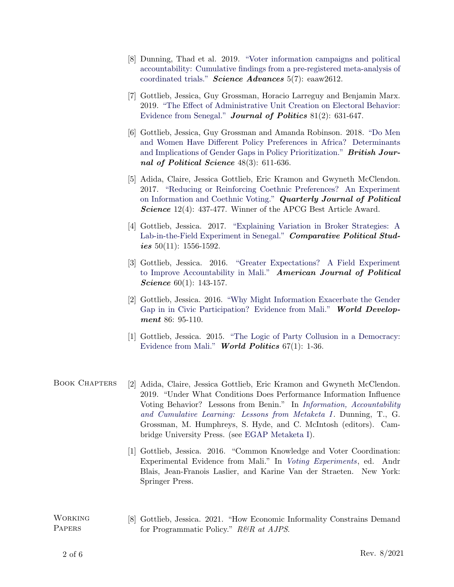- [8] Dunning, Thad et al. 2019. ["Voter information campaigns and political](https://doi.org/10.1126/sciadv.aaw2612) [accountability: Cumulative findings from a pre-registered meta-analysis of](https://doi.org/10.1126/sciadv.aaw2612) [coordinated trials."](https://doi.org/10.1126/sciadv.aaw2612) **Science Advances**  $5(7)$ : eaaw2612.
- [7] Gottlieb, Jessica, Guy Grossman, Horacio Larreguy and Benjamin Marx. 2019. ["The Effect of Administrative Unit Creation on Electoral Behavior:](https://doi.org/10.1086/701833) [Evidence from Senegal."](https://doi.org/10.1086/701833) **Journal of Politics** 81(2): 631-647.
- [6] Gottlieb, Jessica, Guy Grossman and Amanda Robinson. 2018. ["Do Men](https://doi.org/10.1017/S0007123416000053) [and Women Have Different Policy Preferences in Africa? Determinants](https://doi.org/10.1017/S0007123416000053) [and Implications of Gender Gaps in Policy Prioritization."](https://doi.org/10.1017/S0007123416000053) **British Jour**nal of Political Science 48(3): 611-636.
- [5] Adida, Claire, Jessica Gottlieb, Eric Kramon and Gwyneth McClendon. 2017. ["Reducing or Reinforcing Coethnic Preferences? An Experiment](http://dx.doi.org/10.1561/100.00017018) [on Information and Coethnic Voting."](http://dx.doi.org/10.1561/100.00017018) Quarterly Journal of Political Science 12(4): 437-477. Winner of the APCG Best Article Award.
- [4] Gottlieb, Jessica. 2017. ["Explaining Variation in Broker Strategies: A](https://doi.org/10.1177/0010414017695336) [Lab-in-the-Field Experiment in Senegal."](https://doi.org/10.1177/0010414017695336) Comparative Political Studies  $50(11)$ : 1556-1592.
- [3] Gottlieb, Jessica. 2016. ["Greater Expectations? A Field Experiment](https://doi.org/10.1111/ajps.12186) [to Improve Accountability in Mali."](https://doi.org/10.1111/ajps.12186) American Journal of Political *Science* 60(1): 143-157.
- [2] Gottlieb, Jessica. 2016. ["Why Might Information Exacerbate the Gender](https://doi.org/10.1016/j.worlddev.2016.05.010) [Gap in in Civic Participation? Evidence from Mali."](https://doi.org/10.1016/j.worlddev.2016.05.010) World Development 86: 95-110.
- [1] Gottlieb, Jessica. 2015. ["The Logic of Party Collusion in a Democracy:]( https://doi.org/10.1017/S004388711400032X) [Evidence from Mali."]( https://doi.org/10.1017/S004388711400032X) World Politics  $67(1)$ : 1-36.
- BOOK CHAPTERS [2] Adida, Claire, Jessica Gottlieb, Eric Kramon and Gwyneth McClendon. 2019. "Under What Conditions Does Performance Information Influence Voting Behavior? Lessons from Benin." In *Information*, *Accountability* [and Cumulative Learning: Lessons from Metaketa I](https://doi.org/10.1017/9781108381390). Dunning, T., G. Grossman, M. Humphreys, S. Hyde, and C. McIntosh (editors). Cambridge University Press. (see [EGAP Metaketa I\)](http://egap.org/metaketa/metaketa-information-and-accountability).
	- [1] Gottlieb, Jessica. 2016. "Common Knowledge and Voter Coordination: Experimental Evidence from Mali." In [Voting Experiments](https://www.springer.com/us/book/9783319405711), ed. Andr Blais, Jean-Franois Laslier, and Karine Van der Straeten. New York: Springer Press.
- **WORKING PAPERS** [8] Gottlieb, Jessica. 2021. "How Economic Informality Constrains Demand for Programmatic Policy." R&R at AJPS.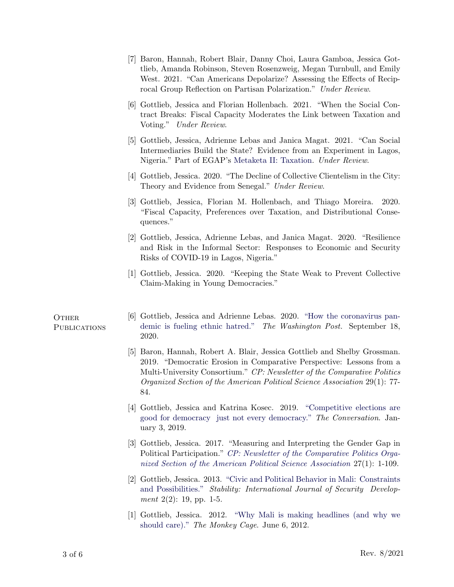- [7] Baron, Hannah, Robert Blair, Danny Choi, Laura Gamboa, Jessica Gottlieb, Amanda Robinson, Steven Rosenzweig, Megan Turnbull, and Emily West. 2021. "Can Americans Depolarize? Assessing the Effects of Reciprocal Group Reflection on Partisan Polarization." Under Review.
- [6] Gottlieb, Jessica and Florian Hollenbach. 2021. "When the Social Contract Breaks: Fiscal Capacity Moderates the Link between Taxation and Voting." Under Review.
- [5] Gottlieb, Jessica, Adrienne Lebas and Janica Magat. 2021. "Can Social Intermediaries Build the State? Evidence from an Experiment in Lagos, Nigeria." Part of EGAP's [Metaketa II: Taxation.](http://egap.org/metaketa/metaketa-ii-taxation) Under Review.
- [4] Gottlieb, Jessica. 2020. "The Decline of Collective Clientelism in the City: Theory and Evidence from Senegal." Under Review.
- [3] Gottlieb, Jessica, Florian M. Hollenbach, and Thiago Moreira. 2020. "Fiscal Capacity, Preferences over Taxation, and Distributional Consequences."
- [2] Gottlieb, Jessica, Adrienne Lebas, and Janica Magat. 2020. "Resilience and Risk in the Informal Sector: Responses to Economic and Security Risks of COVID-19 in Lagos, Nigeria."
- [1] Gottlieb, Jessica. 2020. "Keeping the State Weak to Prevent Collective Claim-Making in Young Democracies."

## **OTHER PUBLICATIONS**

- [6] Gottlieb, Jessica and Adrienne Lebas. 2020. ["How the coronavirus pan](https://www.washingtonpost.com/politics/2020/09/18/megacities-pandemics-economic-crisis-is-fueling-ethnic-hatred/)[demic is fueling ethnic hatred."](https://www.washingtonpost.com/politics/2020/09/18/megacities-pandemics-economic-crisis-is-fueling-ethnic-hatred/) The Washington Post. September 18, 2020.
- [5] Baron, Hannah, Robert A. Blair, Jessica Gottlieb and Shelby Grossman. 2019. "Democratic Erosion in Comparative Perspective: Lessons from a Multi-University Consortium." CP: Newsletter of the Comparative Politics Organized Section of the American Political Science Association 29(1): 77- 84.
- [4] Gottlieb, Jessica and Katrina Kosec. 2019. ["Competitive elections are](https://theconversation.com/competitive-elections-are-good-for-democracy-just-not-every-democracy-106225) [good for democracy just not every democracy."](https://theconversation.com/competitive-elections-are-good-for-democracy-just-not-every-democracy-106225) The Conversation. January 3, 2019.
- [3] Gottlieb, Jessica. 2017. "Measuring and Interpreting the Gender Gap in Political Participation." [CP: Newsletter of the Comparative Politics Orga](http://comparativenewsletter.com/files/archived_newsletters/Newsletter_2017Sp.pdf)[nized Section of the American Political Science Association](http://comparativenewsletter.com/files/archived_newsletters/Newsletter_2017Sp.pdf) 27(1): 1-109.
- [2] Gottlieb, Jessica. 2013. ["Civic and Political Behavior in Mali: Constraints](http://doi.org/10.5334/sta.bd) [and Possibilities."](http://doi.org/10.5334/sta.bd) Stability: International Journal of Security Develop*ment*  $2(2)$ : 19, pp. 1-5.
- [1] Gottlieb, Jessica. 2012. ["Why Mali is making headlines \(and why we](http://themonkeycage.org/2012/06/why-mali-is-making-headlines-and-why-we-should-care/) [should care\)."](http://themonkeycage.org/2012/06/why-mali-is-making-headlines-and-why-we-should-care/) The Monkey Cage. June 6, 2012.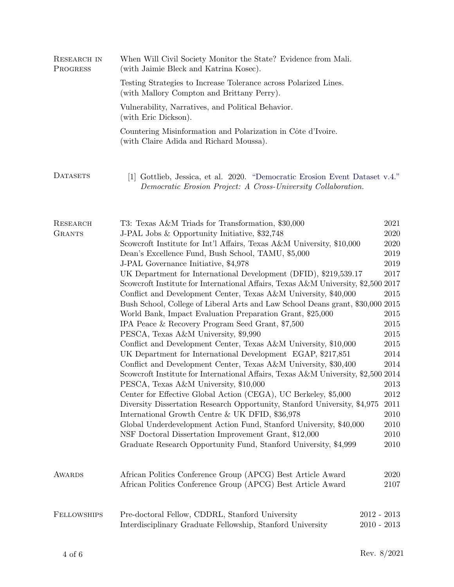| RESEARCH IN<br>PROGRESS   | When Will Civil Society Monitor the State? Evidence from Mali.<br>(with Jaimie Bleck and Katrina Kosec).                                                                                                                                                                                                                                                                                                                                                                                                                                                                                                                                                                                                                                                                                                                                                                                                                                                                                                                                                                                                                                                                                                                                                                                                                                                                                                                                                                                                                                                                                                                                                  |              |  |  |  |
|---------------------------|-----------------------------------------------------------------------------------------------------------------------------------------------------------------------------------------------------------------------------------------------------------------------------------------------------------------------------------------------------------------------------------------------------------------------------------------------------------------------------------------------------------------------------------------------------------------------------------------------------------------------------------------------------------------------------------------------------------------------------------------------------------------------------------------------------------------------------------------------------------------------------------------------------------------------------------------------------------------------------------------------------------------------------------------------------------------------------------------------------------------------------------------------------------------------------------------------------------------------------------------------------------------------------------------------------------------------------------------------------------------------------------------------------------------------------------------------------------------------------------------------------------------------------------------------------------------------------------------------------------------------------------------------------------|--------------|--|--|--|
|                           | Testing Strategies to Increase Tolerance across Polarized Lines.<br>(with Mallory Compton and Brittany Perry).<br>Vulnerability, Narratives, and Political Behavior.<br>(with Eric Dickson).                                                                                                                                                                                                                                                                                                                                                                                                                                                                                                                                                                                                                                                                                                                                                                                                                                                                                                                                                                                                                                                                                                                                                                                                                                                                                                                                                                                                                                                              |              |  |  |  |
|                           |                                                                                                                                                                                                                                                                                                                                                                                                                                                                                                                                                                                                                                                                                                                                                                                                                                                                                                                                                                                                                                                                                                                                                                                                                                                                                                                                                                                                                                                                                                                                                                                                                                                           |              |  |  |  |
|                           | Countering Misinformation and Polarization in Côte d'Ivoire.<br>(with Claire Adida and Richard Moussa).                                                                                                                                                                                                                                                                                                                                                                                                                                                                                                                                                                                                                                                                                                                                                                                                                                                                                                                                                                                                                                                                                                                                                                                                                                                                                                                                                                                                                                                                                                                                                   |              |  |  |  |
| <b>DATASETS</b>           | [1] Gottlieb, Jessica, et al. 2020. "Democratic Erosion Event Dataset v.4."<br>Democratic Erosion Project: A Cross-University Collaboration.                                                                                                                                                                                                                                                                                                                                                                                                                                                                                                                                                                                                                                                                                                                                                                                                                                                                                                                                                                                                                                                                                                                                                                                                                                                                                                                                                                                                                                                                                                              |              |  |  |  |
| RESEARCH<br><b>GRANTS</b> | T3: Texas A&M Triads for Transformation, \$30,000<br>2021<br>J-PAL Jobs & Opportunity Initiative, \$32,748<br>2020<br>Scowcroft Institute for Int'l Affairs, Texas A&M University, \$10,000<br>2020<br>Dean's Excellence Fund, Bush School, TAMU, \$5,000<br>2019<br>2019<br>J-PAL Governance Initiative, \$4,978<br>UK Department for International Development (DFID), \$219,539.17<br>2017<br>Scowcroft Institute for International Affairs, Texas A&M University, \$2,500 2017<br>2015<br>Conflict and Development Center, Texas A&M University, \$40,000<br>Bush School, College of Liberal Arts and Law School Deans grant, \$30,000 2015<br>2015<br>World Bank, Impact Evaluation Preparation Grant, \$25,000<br>IPA Peace & Recovery Program Seed Grant, \$7,500<br>2015<br>PESCA, Texas A&M University, \$9,990<br>2015<br>Conflict and Development Center, Texas A&M University, \$10,000<br>2015<br>UK Department for International Development EGAP, \$217,851<br>2014<br>Conflict and Development Center, Texas A&M University, \$30,400<br>2014<br>Scowcroft Institute for International Affairs, Texas A&M University, \$2,500 2014<br>PESCA, Texas A&M University, \$10,000<br>2013<br>Center for Effective Global Action (CEGA), UC Berkeley, \$5,000<br>2012<br>Diversity Dissertation Research Opportunity, Stanford University, \$4,975<br>2011<br>International Growth Centre & UK DFID, \$36,978<br>2010<br>Global Underdevelopment Action Fund, Stanford University, \$40,000<br>2010<br>NSF Doctoral Dissertation Improvement Grant, \$12,000<br>2010<br>Graduate Research Opportunity Fund, Stanford University, \$4,999<br>2010 |              |  |  |  |
| <b>AWARDS</b>             | African Politics Conference Group (APCG) Best Article Award<br>African Politics Conference Group (APCG) Best Article Award                                                                                                                                                                                                                                                                                                                                                                                                                                                                                                                                                                                                                                                                                                                                                                                                                                                                                                                                                                                                                                                                                                                                                                                                                                                                                                                                                                                                                                                                                                                                | 2020<br>2107 |  |  |  |
| <b>FELLOWSHIPS</b>        | Pre-doctoral Fellow, CDDRL, Stanford University<br>$2012 - 2013$<br>Interdisciplinary Graduate Fellowship, Stanford University<br>$2010 - 2013$                                                                                                                                                                                                                                                                                                                                                                                                                                                                                                                                                                                                                                                                                                                                                                                                                                                                                                                                                                                                                                                                                                                                                                                                                                                                                                                                                                                                                                                                                                           |              |  |  |  |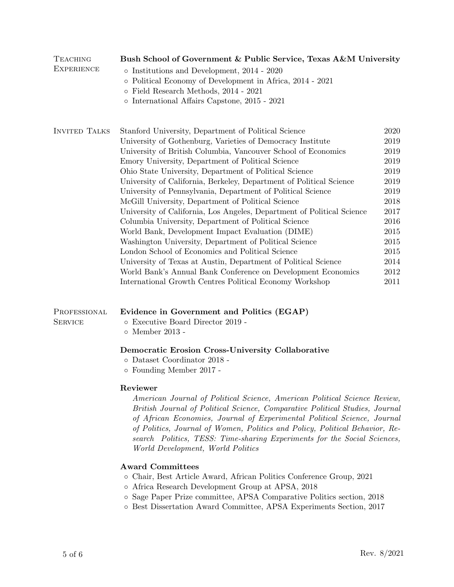| TEACHING<br><b>EXPERIENCE</b>  | Bush School of Government & Public Service, Texas A&M University<br>$\diamond$ Institutions and Development, 2014 - 2020<br>o Political Economy of Development in Africa, 2014 - 2021<br>$\circ$ Field Research Methods, 2014 - 2021<br>$\circ$ International Affairs Capstone, 2015 - 2021                                                                                                                                                                                                                                                                                                                                                                                                                                                                                                                                                                                                                                                                                                     |                                                                                                                              |  |  |
|--------------------------------|-------------------------------------------------------------------------------------------------------------------------------------------------------------------------------------------------------------------------------------------------------------------------------------------------------------------------------------------------------------------------------------------------------------------------------------------------------------------------------------------------------------------------------------------------------------------------------------------------------------------------------------------------------------------------------------------------------------------------------------------------------------------------------------------------------------------------------------------------------------------------------------------------------------------------------------------------------------------------------------------------|------------------------------------------------------------------------------------------------------------------------------|--|--|
| <b>INVITED TALKS</b>           | Stanford University, Department of Political Science<br>University of Gothenburg, Varieties of Democracy Institute<br>University of British Columbia, Vancouver School of Economics<br>Emory University, Department of Political Science<br>Ohio State University, Department of Political Science<br>University of California, Berkeley, Department of Political Science<br>University of Pennsylvania, Department of Political Science<br>McGill University, Department of Political Science<br>University of California, Los Angeles, Department of Political Science<br>Columbia University, Department of Political Science<br>World Bank, Development Impact Evaluation (DIME)<br>Washington University, Department of Political Science<br>London School of Economics and Political Science<br>University of Texas at Austin, Department of Political Science<br>World Bank's Annual Bank Conference on Development Economics<br>International Growth Centres Political Economy Workshop | 2020<br>2019<br>2019<br>2019<br>2019<br>2019<br>2019<br>2018<br>2017<br>2016<br>2015<br>2015<br>2015<br>2014<br>2012<br>2011 |  |  |
| PROFESSIONAL<br><b>SERVICE</b> | Evidence in Government and Politics (EGAP)<br>$\circ~$ Executive Board Director 2019 -<br>o Member 2013 -                                                                                                                                                                                                                                                                                                                                                                                                                                                                                                                                                                                                                                                                                                                                                                                                                                                                                       |                                                                                                                              |  |  |
|                                | Democratic Erosion Cross-University Collaborative<br>o Dataset Coordinator 2018 -<br>o Founding Member 2017 -                                                                                                                                                                                                                                                                                                                                                                                                                                                                                                                                                                                                                                                                                                                                                                                                                                                                                   |                                                                                                                              |  |  |
|                                | Reviewer<br>American Journal of Political Science, American Political Science Review,<br>British Journal of Political Science, Comparative Political Studies, Journal<br>of African Economies, Journal of Experimental Political Science, Journal<br>of Politics, Journal of Women, Politics and Policy, Political Behavior, Re-<br>search Politics, TESS: Time-sharing Experiments for the Social Sciences,<br>World Development, World Politics                                                                                                                                                                                                                                                                                                                                                                                                                                                                                                                                               |                                                                                                                              |  |  |
|                                | <b>Award Committees</b><br>o Chair, Best Article Award, African Politics Conference Group, 2021<br>o Africa Research Development Group at APSA, 2018<br>o Sage Paper Prize committee, APSA Comparative Politics section, 2018<br>o Best Dissertation Award Committee, APSA Experiments Section, 2017                                                                                                                                                                                                                                                                                                                                                                                                                                                                                                                                                                                                                                                                                            |                                                                                                                              |  |  |